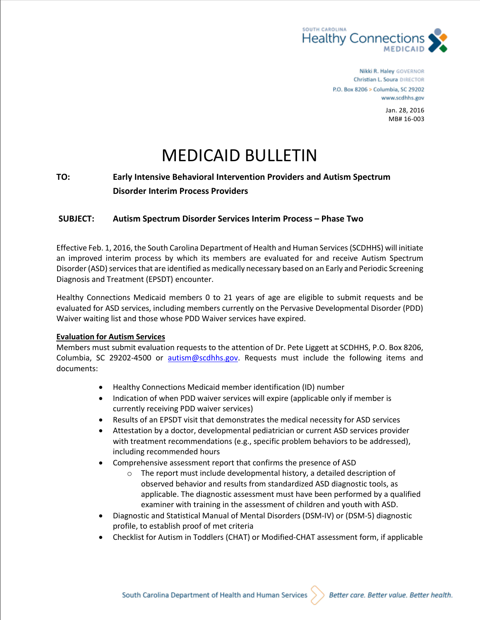

Nikki R. Haley GOVERNOR Christian L. Soura DIRECTOR P.O. Box 8206 > Columbia, SC 29202 www.scdhhs.gov

> Jan. 28, 2016 MB# 16-003

# MEDICAID BULLETIN

## **TO: Early Intensive Behavioral Intervention Providers and Autism Spectrum Disorder Interim Process Providers**

## **SUBJECT: Autism Spectrum Disorder Services Interim Process – Phase Two**

Effective Feb. 1, 2016, the South Carolina Department of Health and Human Services (SCDHHS) will initiate an improved interim process by which its members are evaluated for and receive Autism Spectrum Disorder (ASD) services that are identified as medically necessary based on an Early and Periodic Screening Diagnosis and Treatment (EPSDT) encounter.

Healthy Connections Medicaid members 0 to 21 years of age are eligible to submit requests and be evaluated for ASD services, including members currently on the Pervasive Developmental Disorder (PDD) Waiver waiting list and those whose PDD Waiver services have expired.

#### **Evaluation for Autism Services**

Members must submit evaluation requests to the attention of Dr. Pete Liggett at SCDHHS, P.O. Box 8206, Columbia, SC 29202-4500 or [autism@scdhhs.gov.](mailto:autism@scdhhs.gov) Requests must include the following items and documents:

- Healthy Connections Medicaid member identification (ID) number
- Indication of when PDD waiver services will expire (applicable only if member is currently receiving PDD waiver services)
- Results of an EPSDT visit that demonstrates the medical necessity for ASD services
- Attestation by a doctor, developmental pediatrician or current ASD services provider with treatment recommendations (e.g., specific problem behaviors to be addressed), including recommended hours
- Comprehensive assessment report that confirms the presence of ASD
	- o The report must include developmental history, a detailed description of observed behavior and results from standardized ASD diagnostic tools, as applicable. The diagnostic assessment must have been performed by a qualified examiner with training in the assessment of children and youth with ASD.
- Diagnostic and Statistical Manual of Mental Disorders (DSM-IV) or (DSM-5) diagnostic profile, to establish proof of met criteria
- Checklist for Autism in Toddlers (CHAT) or Modified-CHAT assessment form, if applicable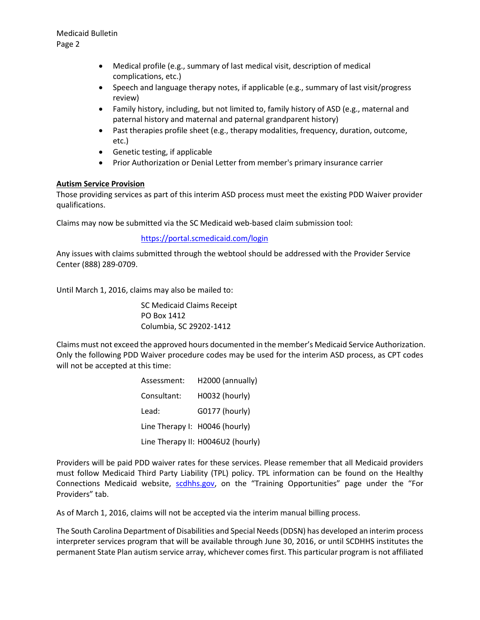- Medical profile (e.g., summary of last medical visit, description of medical complications, etc.)
- Speech and language therapy notes, if applicable (e.g., summary of last visit/progress review)
- Family history, including, but not limited to, family history of ASD (e.g., maternal and paternal history and maternal and paternal grandparent history)
- Past therapies profile sheet (e.g., therapy modalities, frequency, duration, outcome, etc.)
- Genetic testing, if applicable
- Prior Authorization or Denial Letter from member's primary insurance carrier

## **Autism Service Provision**

Those providing services as part of this interim ASD process must meet the existing PDD Waiver provider qualifications.

Claims may now be submitted via the SC Medicaid web-based claim submission tool:

## <https://portal.scmedicaid.com/login>

Any issues with claims submitted through the webtool should be addressed with the Provider Service Center (888) 289-0709.

Until March 1, 2016, claims may also be mailed to:

SC Medicaid Claims Receipt PO Box 1412 Columbia, SC 29202-1412

Claims must not exceed the approved hours documented in the member's Medicaid Service Authorization. Only the following PDD Waiver procedure codes may be used for the interim ASD process, as CPT codes will not be accepted at this time:

| Assessment:                    | H2000 (annually)                  |
|--------------------------------|-----------------------------------|
| Consultant:                    | H0032 (hourly)                    |
| Lead:                          | G0177 (hourly)                    |
| Line Therapy I: H0046 (hourly) |                                   |
|                                | Line Therapy II: H0046U2 (hourly) |

Providers will be paid PDD waiver rates for these services. Please remember that all Medicaid providers must follow Medicaid Third Party Liability (TPL) policy. TPL information can be found on the Healthy Connections Medicaid website, [scdhhs.gov](http://www.scdhhs.gov/), on the "Training Opportunities" page under the "For Providers" tab.

As of March 1, 2016, claims will not be accepted via the interim manual billing process.

The South Carolina Department of Disabilities and Special Needs (DDSN) has developed an interim process interpreter services program that will be available through June 30, 2016, or until SCDHHS institutes the permanent State Plan autism service array, whichever comes first. This particular program is not affiliated